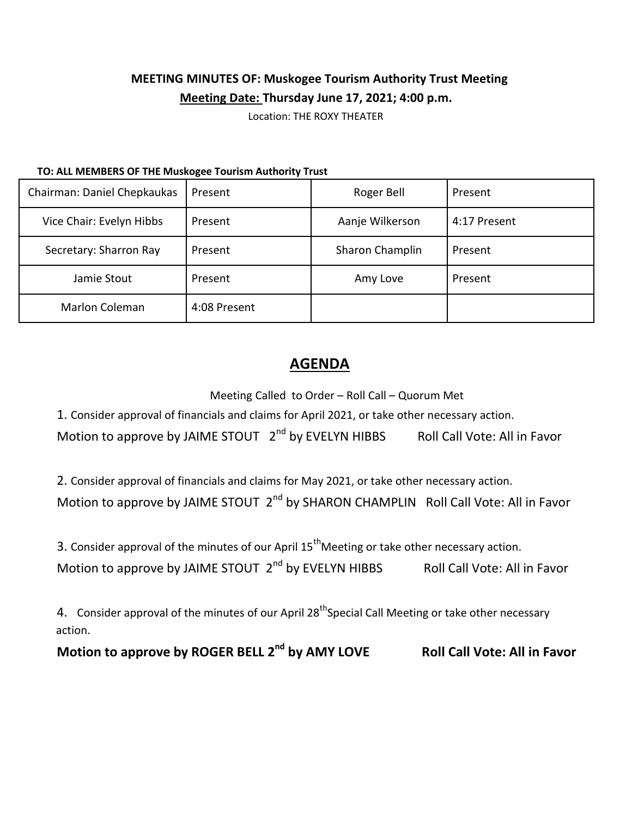## **MEETING MINUTES OF: Muskogee Tourism Authority Trust Meeting Meeting Date: Thursday June 17, 2021; 4:00 p.m.**

Location: THE ROXY THEATER

## **TO: ALL MEMBERS OF THE Muskogee Tourism Authority Trust**

| Chairman: Daniel Chepkaukas | Present      | Roger Bell      | Present      |
|-----------------------------|--------------|-----------------|--------------|
| Vice Chair: Evelyn Hibbs    | Present      | Aanje Wilkerson | 4:17 Present |
| Secretary: Sharron Ray      | Present      | Sharon Champlin | Present      |
| Jamie Stout                 | Present      | Amy Love        | Present      |
| Marlon Coleman              | 4:08 Present |                 |              |

## **AGENDA**

Meeting Called to Order – Roll Call – Quorum Met

1. Consider approval of financials and claims for April 2021, or take other necessary action.

Motion to approve by JAIME STOUT  $2^{nd}$  by EVELYN HIBBS Roll Call Vote: All in Favor

2. Consider approval of financials and claims for May 2021, or take other necessary action.

Motion to approve by JAIME STOUT 2<sup>nd</sup> by SHARON CHAMPLIN Roll Call Vote: All in Favor

3. Consider approval of the minutes of our April  $15<sup>th</sup>$ Meeting or take other necessary action.

Motion to approve by JAIME STOUT  $2^{nd}$  by EVELYN HIBBS Roll Call Vote: All in Favor

4. Consider approval of the minutes of our April 28<sup>th</sup>Special Call Meeting or take other necessary action.

**Motion to approve by ROGER BELL 2 Roll Call Vote: All in Favor**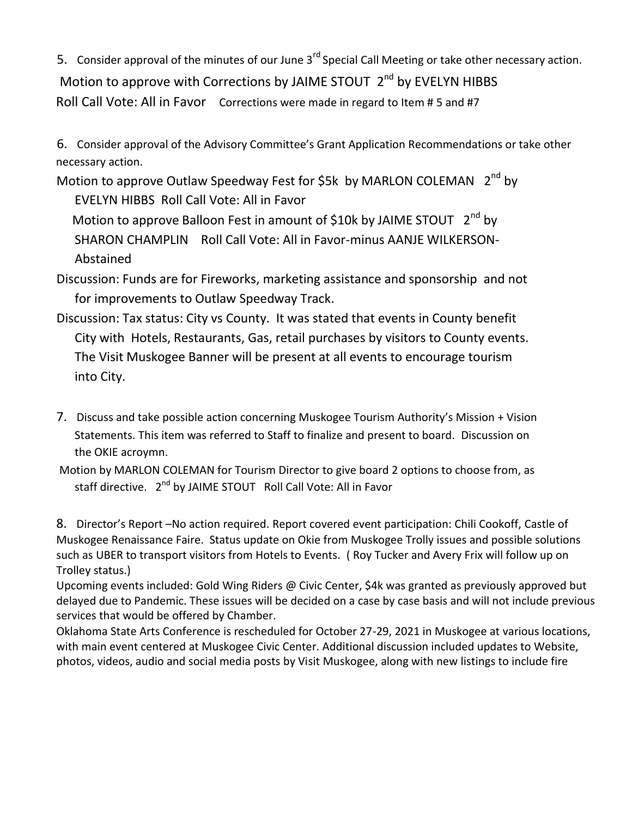5. Consider approval of the minutes of our June 3<sup>rd</sup> Special Call Meeting or take other necessary action. Motion to approve with Corrections by JAIME STOUT  $2^{nd}$  by EVELYN HIBBS Roll Call Vote: All in Favor Corrections were made in regard to Item # 5 and #7

6. Consider approval of the Advisory Committee's Grant Application Recommendations or take other necessary action.

Motion to approve Outlaw Speedway Fest for \$5k by MARLON COLEMAN  $2^{nd}$  by

EVELYN HIBBS Roll Call Vote: All in Favor Motion to approve Balloon Fest in amount of \$10k by JAIME STOUT  $2<sup>nd</sup>$  by SHARON CHAMPLIN Roll Call Vote: All in Favor-minus AANJE WILKERSON-Abstained

- Discussion: Funds are for Fireworks, marketing assistance and sponsorship and not for improvements to Outlaw Speedway Track.
- Discussion: Tax status: City vs County. It was stated that events in County benefit City with Hotels, Restaurants, Gas, retail purchases by visitors to County events. The Visit Muskogee Banner will be present at all events to encourage tourism into City.
- 7. Discuss and take possible action concerning Muskogee Tourism Authority's Mission + Vision Statements. This item was referred to Staff to finalize and present to board. Discussion on the OKIE acroymn.
- Motion by MARLON COLEMAN for Tourism Director to give board 2 options to choose from, as staff directive. 2<sup>nd</sup> by JAIME STOUT Roll Call Vote: All in Favor

8. Director's Report –No action required. Report covered event participation: Chili Cookoff, Castle of Muskogee Renaissance Faire. Status update on Okie from Muskogee Trolly issues and possible solutions such as UBER to transport visitors from Hotels to Events. ( Roy Tucker and Avery Frix will follow up on Trolley status.)

Upcoming events included: Gold Wing Riders @ Civic Center, \$4k was granted as previously approved but delayed due to Pandemic. These issues will be decided on a case by case basis and will not include previous services that would be offered by Chamber.

Oklahoma State Arts Conference is rescheduled for October 27-29, 2021 in Muskogee at various locations, with main event centered at Muskogee Civic Center. Additional discussion included updates to Website, photos, videos, audio and social media posts by Visit Muskogee, along with new listings to include fire